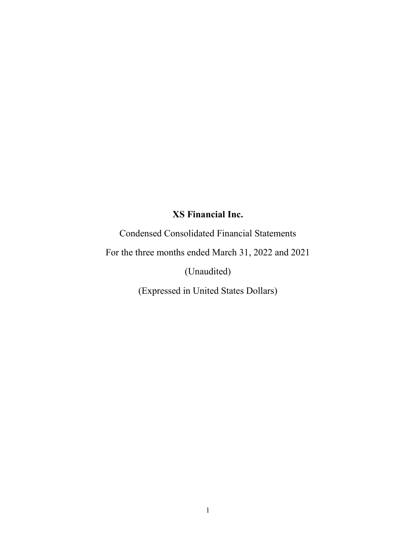Condensed Consolidated Financial Statements

For the three months ended March 31, 2022 and 2021

(Unaudited)

(Expressed in United States Dollars)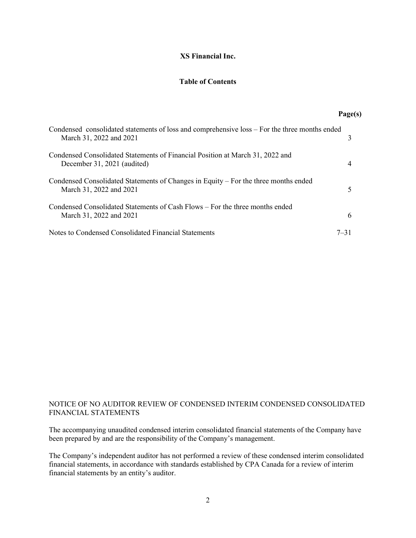# **Table of Contents**

**Page(s)**

| Condensed consolidated statements of loss and comprehensive loss – For the three months ended<br>March 31, 2022 and 2021 |          |
|--------------------------------------------------------------------------------------------------------------------------|----------|
| Condensed Consolidated Statements of Financial Position at March 31, 2022 and<br>December 31, 2021 (audited)             | 4        |
| Condensed Consolidated Statements of Changes in Equity - For the three months ended<br>March 31, 2022 and 2021           |          |
| Condensed Consolidated Statements of Cash Flows – For the three months ended<br>March 31, 2022 and 2021                  | 6        |
| Notes to Condensed Consolidated Financial Statements                                                                     | $7 - 31$ |

# NOTICE OF NO AUDITOR REVIEW OF CONDENSED INTERIM CONDENSED CONSOLIDATED FINANCIAL STATEMENTS

The accompanying unaudited condensed interim consolidated financial statements of the Company have been prepared by and are the responsibility of the Company's management.

The Company's independent auditor has not performed a review of these condensed interim consolidated financial statements, in accordance with standards established by CPA Canada for a review of interim financial statements by an entity's auditor.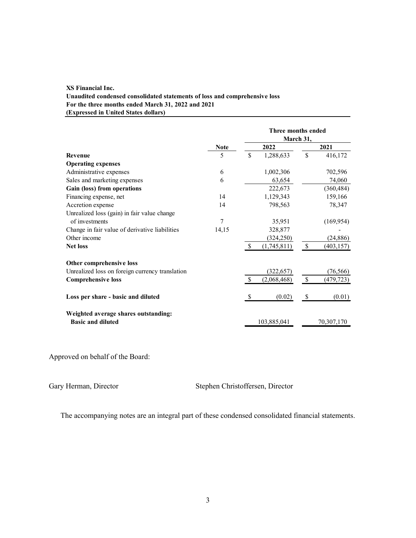### **XS Financial Inc. Unaudited condensed consolidated statements of loss and comprehensive loss For the three months ended March 31, 2022 and 2021 (Expressed in United States dollars)**

|                                                                  |             |               | Three months ended<br>March 31, |              |            |
|------------------------------------------------------------------|-------------|---------------|---------------------------------|--------------|------------|
|                                                                  | <b>Note</b> |               | 2022                            |              | 2021       |
| <b>Revenue</b>                                                   | 5           | \$            | 1,288,633                       | \$           | 416,172    |
| <b>Operating expenses</b>                                        |             |               |                                 |              |            |
| Administrative expenses                                          | 6           |               | 1,002,306                       |              | 702,596    |
| Sales and marketing expenses                                     | 6           |               | 63,654                          |              | 74,060     |
| Gain (loss) from operations                                      |             |               | 222,673                         |              | (360, 484) |
| Financing expense, net                                           | 14          |               | 1,129,343                       |              | 159,166    |
| Accretion expense                                                | 14          |               | 798,563                         |              | 78,347     |
| Unrealized loss (gain) in fair value change                      |             |               |                                 |              |            |
| of investments                                                   | 7           |               | 35,951                          |              | (169, 954) |
| Change in fair value of derivative liabilities                   | 14,15       |               | 328,877                         |              |            |
| Other income                                                     |             |               | (324, 250)                      |              | (24, 886)  |
| <b>Net loss</b>                                                  |             | \$            | (1,745,811)                     | \$           | (403, 157) |
| Other comprehensive loss                                         |             |               |                                 |              |            |
| Unrealized loss on foreign currency translation                  |             |               | (322, 657)                      |              | (76, 566)  |
| <b>Comprehensive loss</b>                                        |             | $\mathcal{S}$ | (2,068,468)                     | $\mathbb{S}$ | (479, 723) |
| Loss per share - basic and diluted                               |             | S             | (0.02)                          | S            | (0.01)     |
| Weighted average shares outstanding:<br><b>Basic and diluted</b> |             |               | 103,885,041                     |              | 70,307,170 |

Approved on behalf of the Board:

Gary Herman, Director Stephen Christoffersen, Director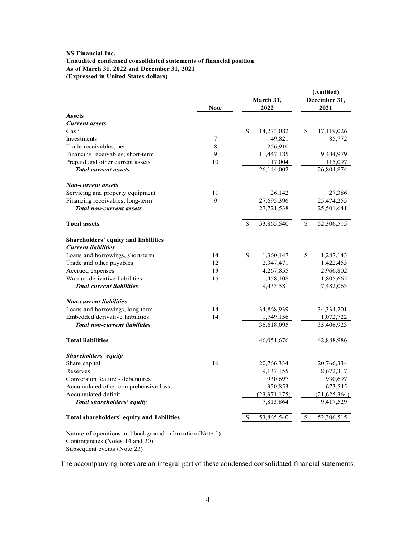#### **XS Financial Inc. Unaudited condensed consolidated statements of financial position As of March 31, 2022 and December 31, 2021 (Expressed in United States dollars)**

|                                            | <b>Note</b>      | March 31,<br>2022 |                | (Audited)<br>December 31,<br>2021 |                |  |
|--------------------------------------------|------------------|-------------------|----------------|-----------------------------------|----------------|--|
| <b>Assets</b>                              |                  |                   |                |                                   |                |  |
| <b>Current assets</b>                      |                  |                   |                |                                   |                |  |
| Cash                                       |                  | \$                | 14,273,082     | \$                                | 17,119,026     |  |
| Investments                                | $\boldsymbol{7}$ |                   | 49,821         |                                   | 85,772         |  |
| Trade receivables, net                     | $\,$ 8 $\,$      |                   | 256,910        |                                   |                |  |
| Financing receivables, short-term          | 9                |                   | 11,447,185     |                                   | 9,484,979      |  |
| Prepaid and other current assets           | 10               |                   | 117,004        |                                   | 115,097        |  |
| <b>Total current assets</b>                |                  |                   | 26,144,002     |                                   | 26,804,874     |  |
| <b>Non-current assets</b>                  |                  |                   |                |                                   |                |  |
| Servicing and property equipment           | 11               |                   | 26,142         |                                   | 27,386         |  |
| Financing receivables, long-term           | 9                |                   | 27,695,396     |                                   | 25,474,255     |  |
| <b>Total non-current assets</b>            |                  |                   | 27,721,538     |                                   | 25,501,641     |  |
| <b>Total assets</b>                        |                  | \$                | 53,865,540     | $\mathbb{S}$                      | 52,306,515     |  |
| Shareholders' equity and liabilities       |                  |                   |                |                                   |                |  |
| <b>Current liabilities</b>                 |                  |                   |                |                                   |                |  |
| Loans and borrowings, short-term           | 14               | \$                | 1,360,147      | \$                                | 1,287,143      |  |
| Trade and other payables                   | 12               |                   | 2,347,471      |                                   | 1,422,453      |  |
| Accrued expenses                           | 13               |                   | 4,267,855      |                                   | 2,966,802      |  |
| Warrant derivative liabilities             | 15               |                   | 1,458,108      |                                   | 1,805,665      |  |
| <b>Total current liabilities</b>           |                  |                   | 9,433,581      |                                   | 7,482,063      |  |
| <b>Non-current liabilities</b>             |                  |                   |                |                                   |                |  |
| Loans and borrowings, long-term            | 14               |                   | 34,868,939     |                                   | 34, 334, 201   |  |
| Embedded derivative liabilities            | 14               |                   | 1,749,156      |                                   | 1,072,722      |  |
| <b>Total non-current liabilities</b>       |                  |                   | 36,618,095     |                                   | 35,406,923     |  |
| <b>Total liabilities</b>                   |                  |                   | 46,051,676     |                                   | 42,888,986     |  |
| Shareholders' equity                       |                  |                   |                |                                   |                |  |
| Share capital                              | 16               |                   | 20,766,334     |                                   | 20,766,334     |  |
| Reserves                                   |                  |                   | 9,137,155      |                                   | 8,672,317      |  |
| Conversion feature - debentures            |                  |                   | 930,697        |                                   | 930,697        |  |
| Accumulated other comprehensive loss       |                  |                   | 350,853        |                                   | 673,545        |  |
| Accumulated deficit                        |                  |                   | (23, 371, 175) |                                   | (21, 625, 364) |  |
| Total shareholders' equity                 |                  |                   | 7,813,864      |                                   | 9,417,529      |  |
| Total shareholders' equity and liabilities |                  | S                 | 53,865,540     | \$                                | 52,306,515     |  |

Nature of operations and background information (Note 1) Contingencies (Notes 14 and 20) Subsequent events (Note 23)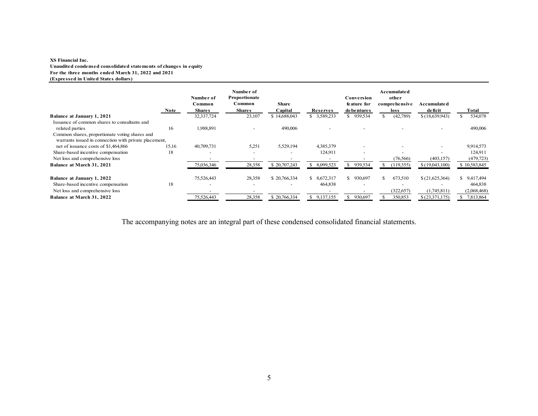#### **XS Financial Inc. Unaudited condensed consolidated statements of changes in equity For the three months ended March 31, 2022 and 2021 (Expressed in United States dollars)**

|                                                                                                         |       | Number of<br>Common      | Number of<br>Proportionate<br>Common | <b>Share</b> |                 | Conversion<br>feature for | Accumulated<br>other<br>comprehensive | Accumulate d             |              |
|---------------------------------------------------------------------------------------------------------|-------|--------------------------|--------------------------------------|--------------|-----------------|---------------------------|---------------------------------------|--------------------------|--------------|
|                                                                                                         | Note  | <b>Shares</b>            | <b>Shares</b>                        | Capital      | Reserves        | debentures                | loss                                  | deficit                  | Total        |
| <b>Balance at January 1, 2021</b>                                                                       |       | 32,337,724               | 23,107                               | \$14,688,043 | \$ 3,589,233    | \$939,534                 | (42,789)                              | \$(18,639,943)           | 534,078      |
| Issuance of common shares to consultants and                                                            |       |                          |                                      |              |                 |                           |                                       |                          |              |
| related parties                                                                                         | 16    | 1,988,891                |                                      | 490,006      |                 |                           |                                       |                          | 490,006      |
| Common shares, proportionate voting shares and<br>warrants issued in connection with private placement, |       |                          |                                      |              |                 |                           |                                       |                          |              |
| net of issuance costs of \$1,464,866                                                                    | 15,16 | 40,709,731               | 5,251                                | 5,529,194    | 4,385,379       | $\overline{\phantom{0}}$  |                                       |                          | 9,914,573    |
| Share-based incentive compensation                                                                      | 18    | $\overline{\phantom{0}}$ |                                      |              | 124,911         | $\overline{\phantom{0}}$  |                                       | $\overline{\phantom{a}}$ | 124,911      |
| Net loss and comprehensive loss                                                                         |       |                          |                                      |              |                 |                           | (76, 566)                             | (403, 157)               | (479, 723)   |
| Balance at March 31, 2021                                                                               |       | 75,036,346               | 28,358                               | \$20,707,243 | 8,099,523       | 939,534                   | (119, 355)                            | \$(19,043,100)           | \$10,583,845 |
| Balance at January 1, 2022                                                                              |       | 75,526,443               | 28,358                               | \$20,766,334 | 8,672,317<br>S. | \$930,697                 | 673,510<br>S.                         | \$(21,625,364)           | \$9,417,494  |
| Share-based incentive compensation                                                                      | 18    | $\overline{\phantom{0}}$ |                                      |              | 464,838         | $\overline{\phantom{0}}$  | $\overline{\phantom{0}}$              |                          | 464,838      |
| Net loss and comprehensive loss                                                                         |       |                          |                                      |              |                 |                           | (322, 657)                            | (1,745,811)              | (2,068,468)  |
| Balance at March 31, 2022                                                                               |       | 75.526.443               | 28,358                               | \$20,766,334 | 9,137,155       | 930,697                   | 350,853                               | \$(23,371,175)           | 7,813,864    |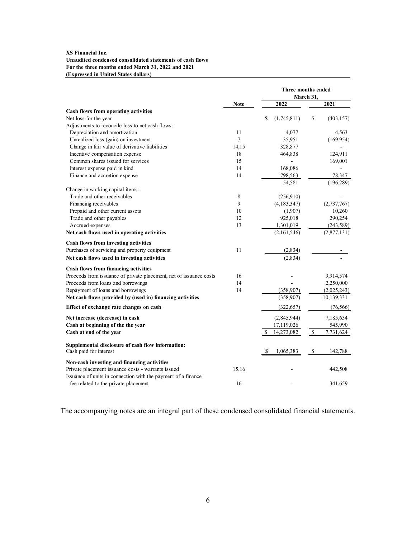#### **XS Financial Inc. Unaudited condensed consolidated statements of cash flows For the three months ended March 31, 2022 and 2021 (Expressed in United States dollars)**

|                                                                    |             |                   | Three months ended<br>March 31, |
|--------------------------------------------------------------------|-------------|-------------------|---------------------------------|
|                                                                    | <b>Note</b> | 2022              | 2021                            |
| Cash flows from operating activities                               |             |                   |                                 |
| Net loss for the year                                              |             | \$<br>(1,745,811) | \$<br>(403, 157)                |
| Adjustments to reconcile loss to net cash flows:                   |             |                   |                                 |
| Depreciation and amortization                                      | 11          | 4,077             | 4,563                           |
| Unrealized loss (gain) on investment                               | $\tau$      | 35,951            | (169, 954)                      |
| Change in fair value of derivative liabilities                     | 14,15       | 328,877           |                                 |
| Incentive compensation expense                                     | 18          | 464,838           | 124,911                         |
| Common shares issued for services                                  | 15          |                   | 169,001                         |
| Interest expense paid in kind                                      | 14          | 168,086           |                                 |
| Finance and accretion expense                                      | 14          | 798,563           | 78,347                          |
|                                                                    |             | 54,581            | (196, 289)                      |
| Change in working capital items:                                   |             |                   |                                 |
| Trade and other receivables                                        | 8           | (256,910)         |                                 |
| Financing receivables                                              | 9           | (4,183,347)       | (2,737,767)                     |
| Prepaid and other current assets                                   | 10          | (1,907)           | 10,260                          |
| Trade and other payables                                           | 12          | 925,018           | 290,254                         |
| Accrued expenses                                                   | 13          | 1,301,019         | (243, 589)                      |
| Net cash flows used in operating activities                        |             | (2,161,546)       | (2,877,131)                     |
| Cash flows from investing activities                               |             |                   |                                 |
| Purchases of servicing and property equipment                      | 11          | (2,834)           |                                 |
| Net cash flows used in investing activities                        |             | (2,834)           |                                 |
| Cash flows from financing activities                               |             |                   |                                 |
| Proceeds from issuance of private placement, net of issuance costs | 16          |                   | 9,914,574                       |
| Proceeds from loans and borrowings                                 | 14          |                   | 2,250,000                       |
| Repayment of loans and borrowings                                  | 14          | (358,907)         | (2,025,243)                     |
| Net cash flows provided by (used in) financing activities          |             | (358,907)         | 10,139,331                      |
| Effect of exchange rate changes on cash                            |             | (322, 657)        | (76, 566)                       |
| Net increase (decrease) in cash                                    |             | (2,845,944)       | 7,185,634                       |
| Cash at beginning of the the year                                  |             | 17,119,026        | 545,990                         |
| Cash at end of the year                                            |             | \$<br>14,273,082  | \$<br>7,731,624                 |
| Supplemental disclosure of cash flow information:                  |             |                   |                                 |
| Cash paid for interest                                             |             | 1,065,383<br>\$   | \$<br>142,788                   |
| Non-cash investing and financing activities                        |             |                   |                                 |
| Private placement issuance costs - warrants issued                 | 15,16       |                   | 442,508                         |
| Issuance of units in connection with the payment of a finance      |             |                   |                                 |
| fee related to the private placement                               | 16          |                   | 341,659                         |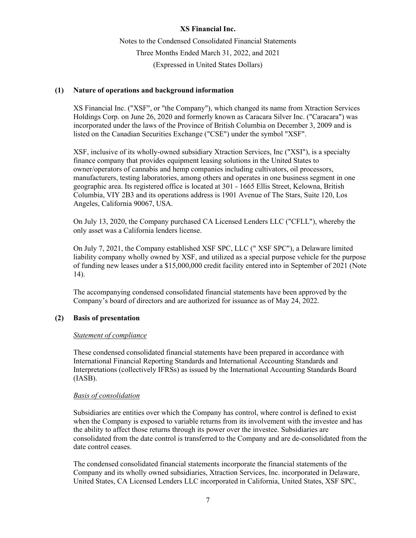Notes to the Condensed Consolidated Financial Statements Three Months Ended March 31, 2022, and 2021 (Expressed in United States Dollars)

# **(1) Nature of operations and background information**

XS Financial Inc. ("XSF", or "the Company"), which changed its name from Xtraction Services Holdings Corp. on June 26, 2020 and formerly known as Caracara Silver Inc. ("Caracara") was incorporated under the laws of the Province of British Columbia on December 3, 2009 and is listed on the Canadian Securities Exchange ("CSE") under the symbol "XSF".

XSF, inclusive of its wholly-owned subsidiary Xtraction Services, Inc ("XSI"), is a specialty finance company that provides equipment leasing solutions in the United States to owner/operators of cannabis and hemp companies including cultivators, oil processors, manufacturers, testing laboratories, among others and operates in one business segment in one geographic area. Its registered office is located at 301 - 1665 Ellis Street, Kelowna, British Columbia, VIY 2B3 and its operations address is 1901 Avenue of The Stars, Suite 120, Los Angeles, California 90067, USA.

On July 13, 2020, the Company purchased CA Licensed Lenders LLC ("CFLL"), whereby the only asset was a California lenders license.

On July 7, 2021, the Company established XSF SPC, LLC (" XSF SPC"), a Delaware limited liability company wholly owned by XSF, and utilized as a special purpose vehicle for the purpose of funding new leases under a \$15,000,000 credit facility entered into in September of 2021 (Note 14).

The accompanying condensed consolidated financial statements have been approved by the Company's board of directors and are authorized for issuance as of May 24, 2022.

# **(2) Basis of presentation**

# *Statement of compliance*

These condensed consolidated financial statements have been prepared in accordance with International Financial Reporting Standards and International Accounting Standards and Interpretations (collectively IFRSs) as issued by the International Accounting Standards Board (IASB).

# *Basis of consolidation*

Subsidiaries are entities over which the Company has control, where control is defined to exist when the Company is exposed to variable returns from its involvement with the investee and has the ability to affect those returns through its power over the investee. Subsidiaries are consolidated from the date control is transferred to the Company and are de-consolidated from the date control ceases.

The condensed consolidated financial statements incorporate the financial statements of the Company and its wholly owned subsidiaries, Xtraction Services, Inc. incorporated in Delaware, United States, CA Licensed Lenders LLC incorporated in California, United States, XSF SPC,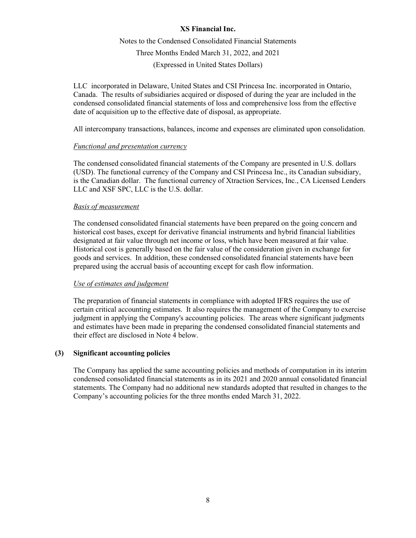Notes to the Condensed Consolidated Financial Statements Three Months Ended March 31, 2022, and 2021 (Expressed in United States Dollars)

LLC incorporated in Delaware, United States and CSI Princesa Inc. incorporated in Ontario, Canada. The results of subsidiaries acquired or disposed of during the year are included in the condensed consolidated financial statements of loss and comprehensive loss from the effective date of acquisition up to the effective date of disposal, as appropriate.

All intercompany transactions, balances, income and expenses are eliminated upon consolidation.

# *Functional and presentation currency*

The condensed consolidated financial statements of the Company are presented in U.S. dollars (USD). The functional currency of the Company and CSI Princesa Inc., its Canadian subsidiary, is the Canadian dollar. The functional currency of Xtraction Services, Inc., CA Licensed Lenders LLC and XSF SPC, LLC is the U.S. dollar.

# *Basis of measurement*

The condensed consolidated financial statements have been prepared on the going concern and historical cost bases, except for derivative financial instruments and hybrid financial liabilities designated at fair value through net income or loss, which have been measured at fair value. Historical cost is generally based on the fair value of the consideration given in exchange for goods and services. In addition, these condensed consolidated financial statements have been prepared using the accrual basis of accounting except for cash flow information.

# *Use of estimates and judgement*

The preparation of financial statements in compliance with adopted IFRS requires the use of certain critical accounting estimates. It also requires the management of the Company to exercise judgment in applying the Company's accounting policies. The areas where significant judgments and estimates have been made in preparing the condensed consolidated financial statements and their effect are disclosed in Note 4 below.

# **(3) Significant accounting policies**

The Company has applied the same accounting policies and methods of computation in its interim condensed consolidated financial statements as in its 2021 and 2020 annual consolidated financial statements. The Company had no additional new standards adopted that resulted in changes to the Company's accounting policies for the three months ended March 31, 2022.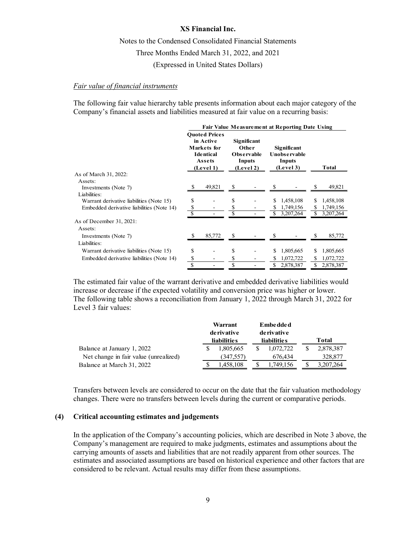Notes to the Condensed Consolidated Financial Statements Three Months Ended March 31, 2022, and 2021 (Expressed in United States Dollars)

### *Fair value of financial instruments*

The following fair value hierarchy table presents information about each major category of the Company's financial assets and liabilities measured at fair value on a recurring basis:

|                                           | <b>Fair Value Measurement at Reporting Date Using</b>                                       |        |                                                                  |  |                                                           |           |  |              |
|-------------------------------------------|---------------------------------------------------------------------------------------------|--------|------------------------------------------------------------------|--|-----------------------------------------------------------|-----------|--|--------------|
|                                           | <b>Ouoted Prices</b><br>in Active<br>Markets for<br><b>Identical</b><br>Assets<br>(Level 1) |        | Significant<br>Other<br><b>Observable</b><br>Inputs<br>(Level 2) |  | Significant<br><b>Unobservable</b><br>Inputs<br>(Level 3) |           |  | <b>Total</b> |
| As of March 31, 2022:                     |                                                                                             |        |                                                                  |  |                                                           |           |  |              |
| Assets:                                   |                                                                                             |        |                                                                  |  |                                                           |           |  |              |
| Investments (Note 7)                      | S                                                                                           | 49,821 | S                                                                |  |                                                           |           |  | 49,821       |
| Liabilities:                              |                                                                                             |        |                                                                  |  |                                                           |           |  |              |
| Warrant derivative liabilities (Note 15)  |                                                                                             |        | \$                                                               |  | \$                                                        | 1,458,108 |  | 1,458,108    |
| Embedded derivative liabilities (Note 14) | \$                                                                                          |        | \$                                                               |  | S                                                         | 1,749,156 |  | 1,749,156    |
|                                           |                                                                                             |        |                                                                  |  |                                                           | 3,207,264 |  | 3,207,264    |
| As of December 31, 2021:                  |                                                                                             |        |                                                                  |  |                                                           |           |  |              |
| Assets:                                   |                                                                                             |        |                                                                  |  |                                                           |           |  |              |
| Investments (Note 7)                      |                                                                                             | 85,772 | S                                                                |  |                                                           |           |  | 85,772       |
| Liabilities:                              |                                                                                             |        |                                                                  |  |                                                           |           |  |              |
| Warrant derivative liabilities (Note 15)  | \$                                                                                          |        | \$                                                               |  | \$                                                        | 1,805,665 |  | 1,805,665    |
| Embedded derivative liabilities (Note 14) | \$                                                                                          |        |                                                                  |  |                                                           | 1,072,722 |  | 1,072,722    |
|                                           | \$                                                                                          |        | \$                                                               |  | \$                                                        | 2,878,387 |  | 2,878,387    |

The estimated fair value of the warrant derivative and embedded derivative liabilities would increase or decrease if the expected volatility and conversion price was higher or lower. The following table shows a reconciliation from January 1, 2022 through March 31, 2022 for Level 3 fair values:

|                                       |             | Warrant            |             | <b>Embedded</b>    |   |           |  |  |
|---------------------------------------|-------------|--------------------|-------------|--------------------|---|-----------|--|--|
|                                       | de rivative |                    | de rivative |                    |   |           |  |  |
|                                       |             | <b>liabilities</b> |             | <b>liabilities</b> |   | Total     |  |  |
| Balance at January 1, 2022            |             | 1,805,665          |             | 1.072.722          | S | 2,878,387 |  |  |
| Net change in fair value (unrealized) |             | (347, 557)         |             | 676.434            |   | 328,877   |  |  |
| Balance at March 31, 2022             |             | 1,458,108          | S           | 1.749.156          |   | 3,207,264 |  |  |

Transfers between levels are considered to occur on the date that the fair valuation methodology changes. There were no transfers between levels during the current or comparative periods.

# **(4) Critical accounting estimates and judgements**

In the application of the Company's accounting policies, which are described in Note 3 above, the Company's management are required to make judgments, estimates and assumptions about the carrying amounts of assets and liabilities that are not readily apparent from other sources. The estimates and associated assumptions are based on historical experience and other factors that are considered to be relevant. Actual results may differ from these assumptions.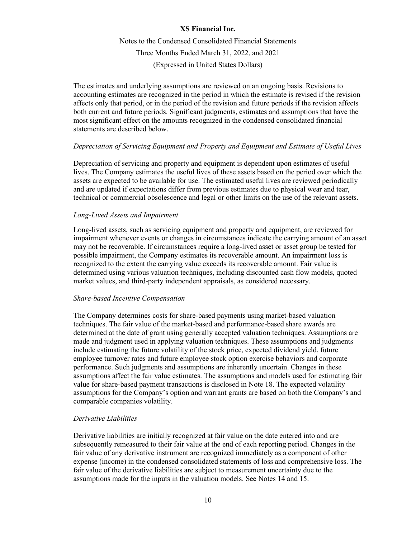Notes to the Condensed Consolidated Financial Statements Three Months Ended March 31, 2022, and 2021 (Expressed in United States Dollars)

The estimates and underlying assumptions are reviewed on an ongoing basis. Revisions to accounting estimates are recognized in the period in which the estimate is revised if the revision affects only that period, or in the period of the revision and future periods if the revision affects both current and future periods. Significant judgments, estimates and assumptions that have the most significant effect on the amounts recognized in the condensed consolidated financial statements are described below.

### *Depreciation of Servicing Equipment and Property and Equipment and Estimate of Useful Lives*

Depreciation of servicing and property and equipment is dependent upon estimates of useful lives. The Company estimates the useful lives of these assets based on the period over which the assets are expected to be available for use. The estimated useful lives are reviewed periodically and are updated if expectations differ from previous estimates due to physical wear and tear, technical or commercial obsolescence and legal or other limits on the use of the relevant assets.

### *Long-Lived Assets and Impairment*

Long-lived assets, such as servicing equipment and property and equipment, are reviewed for impairment whenever events or changes in circumstances indicate the carrying amount of an asset may not be recoverable. If circumstances require a long-lived asset or asset group be tested for possible impairment, the Company estimates its recoverable amount. An impairment loss is recognized to the extent the carrying value exceeds its recoverable amount. Fair value is determined using various valuation techniques, including discounted cash flow models, quoted market values, and third-party independent appraisals, as considered necessary.

### *Share-based Incentive Compensation*

The Company determines costs for share-based payments using market-based valuation techniques. The fair value of the market-based and performance-based share awards are determined at the date of grant using generally accepted valuation techniques. Assumptions are made and judgment used in applying valuation techniques. These assumptions and judgments include estimating the future volatility of the stock price, expected dividend yield, future employee turnover rates and future employee stock option exercise behaviors and corporate performance. Such judgments and assumptions are inherently uncertain. Changes in these assumptions affect the fair value estimates. The assumptions and models used for estimating fair value for share-based payment transactions is disclosed in Note 18. The expected volatility assumptions for the Company's option and warrant grants are based on both the Company's and comparable companies volatility.

# *Derivative Liabilities*

Derivative liabilities are initially recognized at fair value on the date entered into and are subsequently remeasured to their fair value at the end of each reporting period. Changes in the fair value of any derivative instrument are recognized immediately as a component of other expense (income) in the condensed consolidated statements of loss and comprehensive loss. The fair value of the derivative liabilities are subject to measurement uncertainty due to the assumptions made for the inputs in the valuation models. See Notes 14 and 15.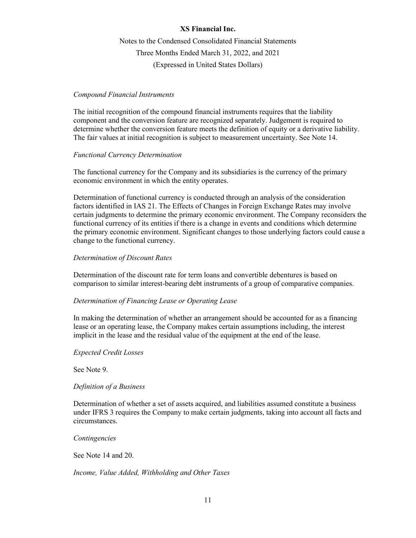Notes to the Condensed Consolidated Financial Statements Three Months Ended March 31, 2022, and 2021 (Expressed in United States Dollars)

# *Compound Financial Instruments*

The initial recognition of the compound financial instruments requires that the liability component and the conversion feature are recognized separately. Judgement is required to determine whether the conversion feature meets the definition of equity or a derivative liability. The fair values at initial recognition is subject to measurement uncertainty. See Note 14.

# *Functional Currency Determination*

The functional currency for the Company and its subsidiaries is the currency of the primary economic environment in which the entity operates.

Determination of functional currency is conducted through an analysis of the consideration factors identified in IAS 21. The Effects of Changes in Foreign Exchange Rates may involve certain judgments to determine the primary economic environment. The Company reconsiders the functional currency of its entities if there is a change in events and conditions which determine the primary economic environment. Significant changes to those underlying factors could cause a change to the functional currency.

# *Determination of Discount Rates*

Determination of the discount rate for term loans and convertible debentures is based on comparison to similar interest-bearing debt instruments of a group of comparative companies.

# *Determination of Financing Lease or Operating Lease*

In making the determination of whether an arrangement should be accounted for as a financing lease or an operating lease, the Company makes certain assumptions including, the interest implicit in the lease and the residual value of the equipment at the end of the lease.

### *Expected Credit Losses*

See Note 9.

# *Definition of a Business*

Determination of whether a set of assets acquired, and liabilities assumed constitute a business under IFRS 3 requires the Company to make certain judgments, taking into account all facts and circumstances.

### *Contingencies*

See Note 14 and 20.

# *Income, Value Added, Withholding and Other Taxes*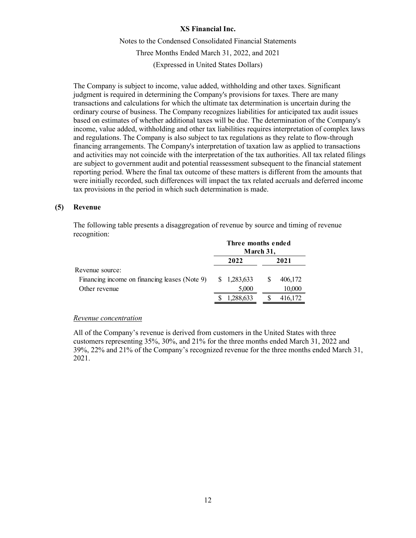Notes to the Condensed Consolidated Financial Statements Three Months Ended March 31, 2022, and 2021 (Expressed in United States Dollars)

The Company is subject to income, value added, withholding and other taxes. Significant judgment is required in determining the Company's provisions for taxes. There are many transactions and calculations for which the ultimate tax determination is uncertain during the ordinary course of business. The Company recognizes liabilities for anticipated tax audit issues based on estimates of whether additional taxes will be due. The determination of the Company's income, value added, withholding and other tax liabilities requires interpretation of complex laws and regulations. The Company is also subject to tax regulations as they relate to flow-through financing arrangements. The Company's interpretation of taxation law as applied to transactions and activities may not coincide with the interpretation of the tax authorities. All tax related filings are subject to government audit and potential reassessment subsequent to the financial statement reporting period. Where the final tax outcome of these matters is different from the amounts that were initially recorded, such differences will impact the tax related accruals and deferred income tax provisions in the period in which such determination is made.

### **(5) Revenue**

The following table presents a disaggregation of revenue by source and timing of revenue recognition:

|                                               |      | Three months ended | March 31, |         |
|-----------------------------------------------|------|--------------------|-----------|---------|
|                                               | 2022 |                    | 2021      |         |
| Revenue source:                               |      |                    |           |         |
| Financing income on financing leases (Note 9) |      | \$ 1,283,633       |           | 406,172 |
| Other revenue                                 |      | 5,000              |           | 10,000  |
|                                               |      | 1,288,633          |           | 416,172 |

### *Revenue concentration*

All of the Company's revenue is derived from customers in the United States with three customers representing 35%, 30%, and 21% for the three months ended March 31, 2022 and 39%, 22% and 21% of the Company's recognized revenue for the three months ended March 31, 2021.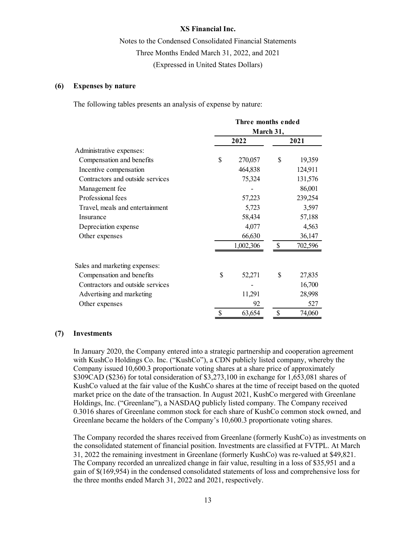Notes to the Condensed Consolidated Financial Statements Three Months Ended March 31, 2022, and 2021 (Expressed in United States Dollars)

### **(6) Expenses by nature**

The following tables presents an analysis of expense by nature:

|                                  | Three months ended |           |    |         |  |  |
|----------------------------------|--------------------|-----------|----|---------|--|--|
|                                  | March 31,          |           |    |         |  |  |
|                                  |                    | 2022      |    | 2021    |  |  |
| Administrative expenses:         |                    |           |    |         |  |  |
| Compensation and benefits        | \$                 | 270,057   | \$ | 19,359  |  |  |
| Incentive compensation           |                    | 464,838   |    | 124,911 |  |  |
| Contractors and outside services |                    | 75,324    |    | 131,576 |  |  |
| Management fee                   |                    |           |    | 86,001  |  |  |
| Professional fees                |                    | 57,223    |    | 239,254 |  |  |
| Travel, meals and entertainment  |                    | 5,723     |    | 3,597   |  |  |
| Insurance                        |                    | 58,434    |    | 57,188  |  |  |
| Depreciation expense             |                    | 4,077     |    | 4,563   |  |  |
| Other expenses                   |                    | 66,630    |    | 36,147  |  |  |
|                                  |                    | 1,002,306 |    | 702,596 |  |  |
| Sales and marketing expenses:    |                    |           |    |         |  |  |
| Compensation and benefits        | \$                 | 52,271    | \$ | 27,835  |  |  |
| Contractors and outside services |                    |           |    | 16,700  |  |  |
| Advertising and marketing        |                    | 11,291    |    | 28,998  |  |  |
| Other expenses                   |                    | 92        |    | 527     |  |  |
|                                  | \$                 | 63,654    | \$ | 74,060  |  |  |

### **(7) Investments**

In January 2020, the Company entered into a strategic partnership and cooperation agreement with KushCo Holdings Co. Inc. ("KushCo"), a CDN publicly listed company, whereby the Company issued 10,600.3 proportionate voting shares at a share price of approximately \$309CAD (\$236) for total consideration of \$3,273,100 in exchange for 1,653,081 shares of KushCo valued at the fair value of the KushCo shares at the time of receipt based on the quoted market price on the date of the transaction. In August 2021, KushCo mergered with Greenlane Holdings, Inc. ("Greenlane"), a NASDAQ publicly listed company. The Company received 0.3016 shares of Greenlane common stock for each share of KushCo common stock owned, and Greenlane became the holders of the Company's 10,600.3 proportionate voting shares.

The Company recorded the shares received from Greenlane (formerly KushCo) as investments on the consolidated statement of financial position. Investments are classified at FVTPL. At March 31, 2022 the remaining investment in Greenlane (formerly KushCo) was re-valued at \$49,821. The Company recorded an unrealized change in fair value, resulting in a loss of \$35,951 and a gain of \$(169,954) in the condensed consolidated statements of loss and comprehensive loss for the three months ended March 31, 2022 and 2021, respectively.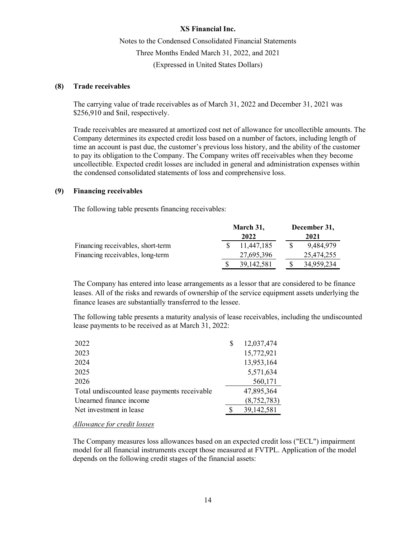Notes to the Condensed Consolidated Financial Statements Three Months Ended March 31, 2022, and 2021 (Expressed in United States Dollars)

# **(8) Trade receivables**

The carrying value of trade receivables as of March 31, 2022 and December 31, 2021 was \$256,910 and \$nil, respectively.

Trade receivables are measured at amortized cost net of allowance for uncollectible amounts. The Company determines its expected credit loss based on a number of factors, including length of time an account is past due, the customer's previous loss history, and the ability of the customer to pay its obligation to the Company. The Company writes off receivables when they become uncollectible. Expected credit losses are included in general and administration expenses within the condensed consolidated statements of loss and comprehensive loss.

## **(9) Financing receivables**

The following table presents financing receivables:

|                                   | March 31, |              | December 31, |
|-----------------------------------|-----------|--------------|--------------|
|                                   |           | 2022         | 2021         |
| Financing receivables, short-term |           | 11.447.185   | 9.484.979    |
| Financing receivables, long-term  |           | 27,695,396   | 25,474,255   |
|                                   |           | 39, 142, 581 | 34,959,234   |

The Company has entered into lease arrangements as a lessor that are considered to be finance leases. All of the risks and rewards of ownership of the service equipment assets underlying the finance leases are substantially transferred to the lessee.

The following table presents a maturity analysis of lease receivables, including the undiscounted lease payments to be received as at March 31, 2022:

| 2022                                         | \$<br>12,037,474 |
|----------------------------------------------|------------------|
| 2023                                         | 15,772,921       |
| 2024                                         | 13,953,164       |
| 2025                                         | 5,571,634        |
| 2026                                         | 560,171          |
| Total undiscounted lease payments receivable | 47,895,364       |
| Unearned finance income                      | (8,752,783)      |
| Net investment in lease                      | 39,142,581       |
|                                              |                  |

*Allowance for credit losses*

The Company measures loss allowances based on an expected credit loss ("ECL") impairment model for all financial instruments except those measured at FVTPL. Application of the model depends on the following credit stages of the financial assets: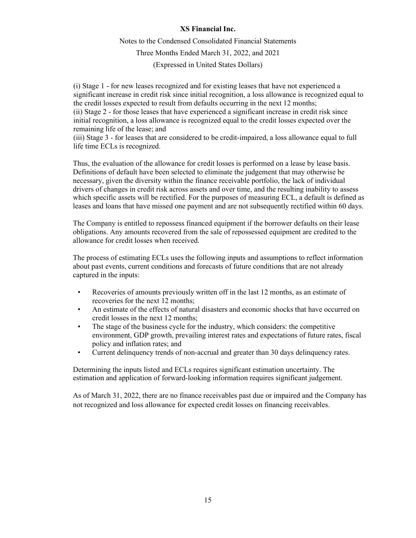# Notes to the Condensed Consolidated Financial Statements Three Months Ended March 31, 2022, and 2021 (Expressed in United States Dollars)

(i) Stage 1 - for new leases recognized and for existing leases that have not experienced a significant increase in credit risk since initial recognition, a loss allowance is recognized equal to the credit losses expected to result from defaults occurring in the next 12 months; (ii) Stage 2 - for those leases that have experienced a significant increase in credit risk since initial recognition, a loss allowance is recognized equal to the credit losses expected over the remaining life of the lease; and

(iii) Stage 3 - for leases that are considered to be credit-impaired, a loss allowance equal to full life time ECLs is recognized.

Thus, the evaluation of the allowance for credit losses is performed on a lease by lease basis. Definitions of default have been selected to eliminate the judgement that may otherwise be necessary, given the diversity within the finance receivable portfolio, the lack of individual drivers of changes in credit risk across assets and over time, and the resulting inability to assess which specific assets will be rectified. For the purposes of measuring ECL, a default is defined as leases and loans that have missed one payment and are not subsequently rectified within 60 days.

The Company is entitled to repossess financed equipment if the borrower defaults on their lease obligations. Any amounts recovered from the sale of repossessed equipment are credited to the allowance for credit losses when received.

The process of estimating ECLs uses the following inputs and assumptions to reflect information about past events, current conditions and forecasts of future conditions that are not already captured in the inputs:

- Recoveries of amounts previously written off in the last 12 months, as an estimate of recoveries for the next 12 months;
- An estimate of the effects of natural disasters and economic shocks that have occurred on credit losses in the next 12 months;
- The stage of the business cycle for the industry, which considers: the competitive environment, GDP growth, prevailing interest rates and expectations of future rates, fiscal policy and inflation rates; and
- Current delinquency trends of non-accrual and greater than 30 days delinquency rates.

Determining the inputs listed and ECLs requires significant estimation uncertainty. The estimation and application of forward-looking information requires significant judgement.

As of March 31, 2022, there are no finance receivables past due or impaired and the Company has not recognized and loss allowance for expected credit losses on financing receivables.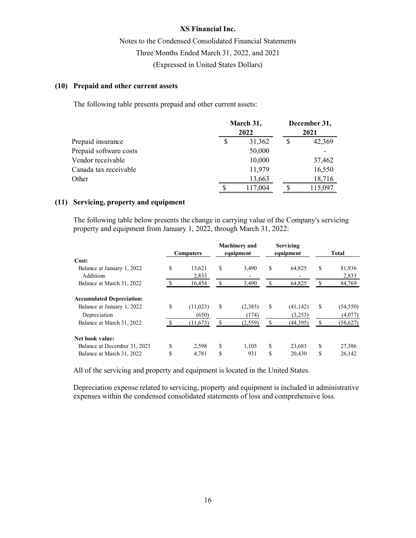Notes to the Condensed Consolidated Financial Statements Three Months Ended March 31, 2022, and 2021 (Expressed in United States Dollars)

# **(10) Prepaid and other current assets**

The following table presents prepaid and other current assets:

|                        | March 31,<br>2022 | December 31,<br>2021 |  |         |
|------------------------|-------------------|----------------------|--|---------|
| Prepaid insurance      | S                 | 31,362               |  | 42,369  |
| Prepaid software costs |                   | 50,000               |  |         |
| Vendor receivable      |                   | 10,000               |  | 37,462  |
| Canada tax receivable  |                   | 11,979               |  | 16,550  |
| Other                  |                   | 13,663               |  | 18,716  |
|                        |                   | 117,004              |  | 115,097 |

### **(11) Servicing, property and equipment**

The following table below presents the change in carrying value of the Company's servicing property and equipment from January 1, 2022, through March 31, 2022:

|                                  | <b>Computers</b> |          | <b>Machinery and</b><br>equipment | Servicing<br>equipment |           | <b>Total</b> |           |
|----------------------------------|------------------|----------|-----------------------------------|------------------------|-----------|--------------|-----------|
| Cost:                            |                  |          |                                   |                        |           |              |           |
| Balance at January 1, 2022       | S                | 13,621   | \$<br>3,490                       | \$                     | 64,825    | S            | 81,936    |
| <b>Additions</b>                 |                  | 2,833    |                                   |                        |           |              | 2,833     |
| Balance at March 31, 2022        |                  | 16.454   | \$<br>3,490                       | S                      | 64.825    | S            | 84,769    |
| <b>Accumulated Depreciation:</b> |                  |          |                                   |                        |           |              |           |
| Balance at January 1, 2022       | S                | (11,023) | \$<br>(2,385)                     | S                      | (41, 142) | S            | (54, 550) |
| Depreciation                     |                  | (650)    | (174)                             |                        | (3,253)   |              | (4,077)   |
| Balance at March 31, 2022        |                  | (11,673) | \$<br>(2,559)                     | S                      | (44,395)  | S            | (58,627)  |
| Net book value:                  |                  |          |                                   |                        |           |              |           |
| Balance at December 31, 2021     | S                | 2,598    | \$<br>1.105                       | S                      | 23,683    | S            | 27,386    |
| Balance at March 31, 2022        | S                | 4,781    | \$<br>931                         | \$                     | 20,430    | S            | 26,142    |

All of the servicing and property and equipment is located in the United States.

Depreciation expense related to servicing, property and equipment is included in administrative expenses within the condensed consolidated statements of loss and comprehensive loss.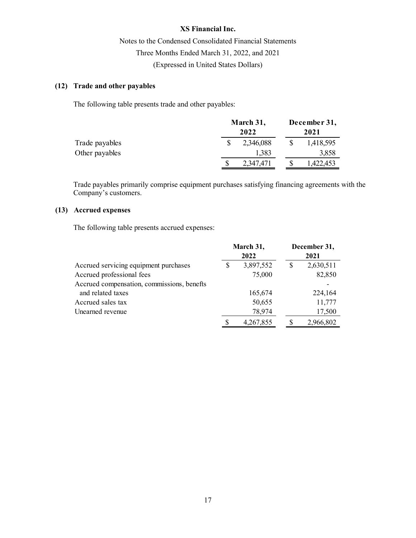Notes to the Condensed Consolidated Financial Statements Three Months Ended March 31, 2022, and 2021 (Expressed in United States Dollars)

# **(12) Trade and other payables**

The following table presents trade and other payables:

|                | March 31,<br>2022 |  |           |
|----------------|-------------------|--|-----------|
| Trade payables | 2,346,088         |  | 1,418,595 |
| Other payables | 1,383             |  | 3,858     |
|                | 2,347,471         |  | 1,422,453 |

Trade payables primarily comprise equipment purchases satisfying financing agreements with the Company's customers.

# **(13) Accrued expenses**

The following table presents accrued expenses:

|                                            | March 31, |           | December 31, |
|--------------------------------------------|-----------|-----------|--------------|
|                                            |           | 2022      | 2021         |
| Accrued servicing equipment purchases      | S         | 3,897,552 | 2,630,511    |
| Accrued professional fees                  |           | 75,000    | 82,850       |
| Accrued compensation, commissions, benefts |           |           |              |
| and related taxes                          |           | 165,674   | 224,164      |
| Accrued sales tax                          |           | 50,655    | 11,777       |
| Unearned revenue                           |           | 78,974    | 17,500       |
|                                            |           | 4,267,855 | 2,966,802    |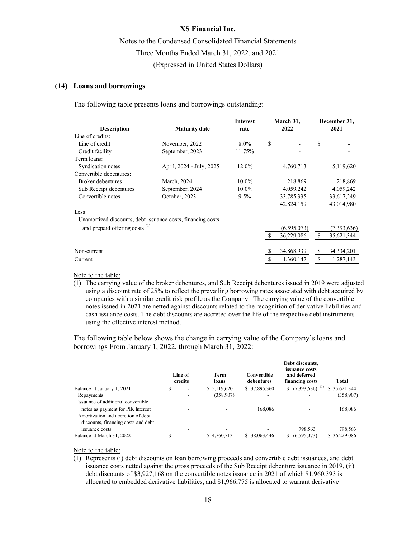Notes to the Condensed Consolidated Financial Statements Three Months Ended March 31, 2022, and 2021 (Expressed in United States Dollars)

### **(14) Loans and borrowings**

The following table presents loans and borrowings outstanding:

| <b>Description</b>                        | <b>Maturity date</b>                                        | <b>Interest</b><br>rate | March 31,<br>2022 | December 31,<br>2021 |             |  |
|-------------------------------------------|-------------------------------------------------------------|-------------------------|-------------------|----------------------|-------------|--|
| Line of credits:                          |                                                             |                         |                   |                      |             |  |
| Line of credit                            | November, 2022                                              | $8.0\%$                 | \$                | \$                   |             |  |
| Credit facility                           | September, 2023                                             | 11.75%                  |                   |                      |             |  |
| Term loans:                               |                                                             |                         |                   |                      |             |  |
| Syndication notes                         | April, 2024 - July, 2025                                    | 12.0%                   | 4,760,713         |                      | 5,119,620   |  |
| Convertible debentures:                   |                                                             |                         |                   |                      |             |  |
| Broker debentures                         | March, 2024                                                 | 10.0%                   | 218,869           |                      | 218,869     |  |
| Sub Receipt debentures                    | September, 2024                                             | $10.0\%$                | 4,059,242         |                      | 4,059,242   |  |
| Convertible notes                         | October, 2023                                               | $9.5\%$                 | 33,785,335        |                      | 33,617,249  |  |
|                                           |                                                             |                         | 42,824,159        |                      | 43,014,980  |  |
| Less:                                     |                                                             |                         |                   |                      |             |  |
|                                           | Unamortized discounts, debt issuance costs, financing costs |                         |                   |                      |             |  |
| and prepaid offering costs <sup>(1)</sup> |                                                             |                         | (6,595,073)       |                      | (7,393,636) |  |
|                                           |                                                             |                         | 36,229,086        | \$                   | 35,621,344  |  |
| Non-current                               |                                                             |                         | 34,868,939        | \$                   | 34,334,201  |  |
| Current                                   |                                                             |                         | 1,360,147         |                      | 1,287,143   |  |
|                                           |                                                             |                         |                   |                      |             |  |

Note to the table:

(1) The carrying value of the broker debentures, and Sub Receipt debentures issued in 2019 were adjusted using a discount rate of 25% to reflect the prevailing borrowing rates associated with debt acquired by companies with a similar credit risk profile as the Company. The carrying value of the convertible notes issued in 2021 are netted against discounts related to the recognition of derivative liabilities and cash issuance costs. The debt discounts are accreted over the life of the respective debt instruments using the effective interest method.

The following table below shows the change in carrying value of the Company's loans and borrowings From January 1, 2022, through March 31, 2022:

|                                                                                                                                                      |   | Line of<br>credits | Term<br>loans | Convertible<br>debentures | Debt discounts,<br><i>issuance costs</i><br>and deferred<br>financing costs | Total                   |
|------------------------------------------------------------------------------------------------------------------------------------------------------|---|--------------------|---------------|---------------------------|-----------------------------------------------------------------------------|-------------------------|
| Balance at January 1, 2021                                                                                                                           | Ф |                    | \$5,119,620   | \$37,895,360              | \$ $(7,393,636)$ <sup>(1)</sup>                                             | \$35,621,344            |
| Repayments                                                                                                                                           |   |                    | (358,907)     | -                         |                                                                             | (358,907)               |
| Issuance of additional convertible<br>notes as payment for PIK Interest<br>Amortization and accretion of debt<br>discounts, financing costs and debt |   |                    |               | 168,086                   |                                                                             | 168,086                 |
| issuance costs<br>Balance at March 31, 2022                                                                                                          |   |                    | \$4,760,713   | 38,063,446<br>\$.         | 798,563<br>(6,595,073)                                                      | 798,563<br>\$36,229,086 |

#### Note to the table:

(1) Represents (i) debt discounts on loan borrowing proceeds and convertible debt issuances, and debt issuance costs netted against the gross proceeds of the Sub Receipt debenture issuance in 2019, (ii) debt discounts of \$3,927,168 on the convertible notes issuance in 2021 of which \$1,960,393 is allocated to embedded derivative liabilities, and \$1,966,775 is allocated to warrant derivative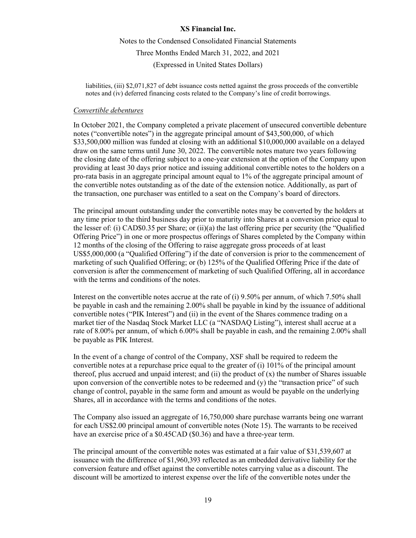Notes to the Condensed Consolidated Financial Statements Three Months Ended March 31, 2022, and 2021 (Expressed in United States Dollars)

liabilities, (iii) \$2,071,827 of debt issuance costs netted against the gross proceeds of the convertible notes and (iv) deferred financing costs related to the Company's line of credit borrowings.

### *Convertible debentures*

In October 2021, the Company completed a private placement of unsecured convertible debenture notes ("convertible notes") in the aggregate principal amount of \$43,500,000, of which \$33,500,000 million was funded at closing with an additional \$10,000,000 available on a delayed draw on the same terms until June 30, 2022. The convertible notes mature two years following the closing date of the offering subject to a one-year extension at the option of the Company upon providing at least 30 days prior notice and issuing additional convertible notes to the holders on a pro-rata basis in an aggregate principal amount equal to 1% of the aggregate principal amount of the convertible notes outstanding as of the date of the extension notice. Additionally, as part of the transaction, one purchaser was entitled to a seat on the Company's board of directors.

The principal amount outstanding under the convertible notes may be converted by the holders at any time prior to the third business day prior to maturity into Shares at a conversion price equal to the lesser of: (i) CAD\$0.35 per Share; or (ii)(a) the last offering price per security (the "Qualified Offering Price") in one or more prospectus offerings of Shares completed by the Company within 12 months of the closing of the Offering to raise aggregate gross proceeds of at least US\$5,000,000 (a "Qualified Offering") if the date of conversion is prior to the commencement of marketing of such Qualified Offering; or (b) 125% of the Qualified Offering Price if the date of conversion is after the commencement of marketing of such Qualified Offering, all in accordance with the terms and conditions of the notes.

Interest on the convertible notes accrue at the rate of (i) 9.50% per annum, of which 7.50% shall be payable in cash and the remaining 2.00% shall be payable in kind by the issuance of additional convertible notes ("PIK Interest") and (ii) in the event of the Shares commence trading on a market tier of the Nasdaq Stock Market LLC (a "NASDAQ Listing"), interest shall accrue at a rate of 8.00% per annum, of which 6.00% shall be payable in cash, and the remaining 2.00% shall be payable as PIK Interest.

In the event of a change of control of the Company, XSF shall be required to redeem the convertible notes at a repurchase price equal to the greater of (i) 101% of the principal amount thereof, plus accrued and unpaid interest; and (ii) the product of  $(x)$  the number of Shares issuable upon conversion of the convertible notes to be redeemed and (y) the "transaction price" of such change of control, payable in the same form and amount as would be payable on the underlying Shares, all in accordance with the terms and conditions of the notes.

The Company also issued an aggregate of 16,750,000 share purchase warrants being one warrant for each US\$2.00 principal amount of convertible notes (Note 15). The warrants to be received have an exercise price of a \$0.45CAD (\$0.36) and have a three-year term.

The principal amount of the convertible notes was estimated at a fair value of \$31,539,607 at issuance with the difference of \$1,960,393 reflected as an embedded derivative liability for the conversion feature and offset against the convertible notes carrying value as a discount. The discount will be amortized to interest expense over the life of the convertible notes under the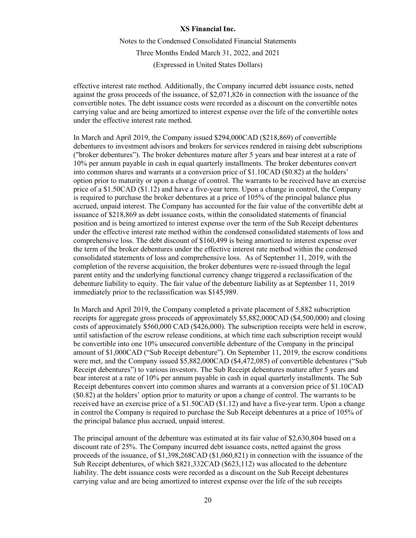Notes to the Condensed Consolidated Financial Statements Three Months Ended March 31, 2022, and 2021 (Expressed in United States Dollars)

effective interest rate method. Additionally, the Company incurred debt issuance costs, netted against the gross proceeds of the issuance, of \$2,071,826 in connection with the issuance of the convertible notes. The debt issuance costs were recorded as a discount on the convertible notes carrying value and are being amortized to interest expense over the life of the convertible notes under the effective interest rate method.

In March and April 2019, the Company issued \$294,000CAD (\$218,869) of convertible debentures to investment advisors and brokers for services rendered in raising debt subscriptions ("broker debentures"). The broker debentures mature after 5 years and bear interest at a rate of 10% per annum payable in cash in equal quarterly installments. The broker debentures convert into common shares and warrants at a conversion price of \$1.10CAD (\$0.82) at the holders' option prior to maturity or upon a change of control. The warrants to be received have an exercise price of a \$1.50CAD (\$1.12) and have a five-year term. Upon a change in control, the Company is required to purchase the broker debentures at a price of 105% of the principal balance plus accrued, unpaid interest. The Company has accounted for the fair value of the convertible debt at issuance of \$218,869 as debt issuance costs, within the consolidated statements of financial position and is being amortized to interest expense over the term of the Sub Receipt debentures under the effective interest rate method within the condensed consolidated statements of loss and comprehensive loss. The debt discount of \$160,499 is being amortized to interest expense over the term of the broker debentures under the effective interest rate method within the condensed consolidated statements of loss and comprehensive loss. As of September 11, 2019, with the completion of the reverse acquisition, the broker debentures were re-issued through the legal parent entity and the underlying functional currency change triggered a reclassification of the debenture liability to equity. The fair value of the debenture liability as at September 11, 2019 immediately prior to the reclassification was \$145,989.

In March and April 2019, the Company completed a private placement of 5,882 subscription receipts for aggregate gross proceeds of approximately \$5,882,000CAD (\$4,500,000) and closing costs of approximately \$560,000 CAD (\$426,000). The subscription receipts were held in escrow, until satisfaction of the escrow release conditions, at which time each subscription receipt would be convertible into one 10% unsecured convertible debenture of the Company in the principal amount of \$1,000CAD ("Sub Receipt debenture"). On September 11, 2019, the escrow conditions were met, and the Company issued \$5,882,000CAD (\$4,472,085) of convertible debentures ("Sub Receipt debentures") to various investors. The Sub Receipt debentures mature after 5 years and bear interest at a rate of 10% per annum payable in cash in equal quarterly installments. The Sub Receipt debentures convert into common shares and warrants at a conversion price of \$1.10CAD (\$0.82) at the holders' option prior to maturity or upon a change of control. The warrants to be received have an exercise price of a \$1.50CAD (\$1.12) and have a five-year term. Upon a change in control the Company is required to purchase the Sub Receipt debentures at a price of 105% of the principal balance plus accrued, unpaid interest.

The principal amount of the debenture was estimated at its fair value of \$2,630,804 based on a discount rate of 25%. The Company incurred debt issuance costs, netted against the gross proceeds of the issuance, of \$1,398,268CAD (\$1,060,821) in connection with the issuance of the Sub Receipt debentures, of which \$821,332CAD (\$623,112) was allocated to the debenture liability. The debt issuance costs were recorded as a discount on the Sub Receipt debentures carrying value and are being amortized to interest expense over the life of the sub receipts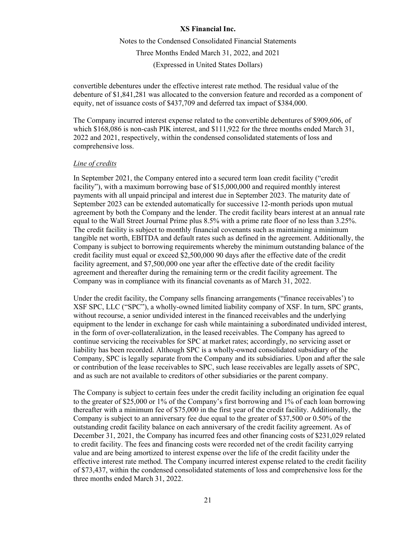Notes to the Condensed Consolidated Financial Statements Three Months Ended March 31, 2022, and 2021 (Expressed in United States Dollars)

convertible debentures under the effective interest rate method. The residual value of the debenture of \$1,841,281 was allocated to the conversion feature and recorded as a component of equity, net of issuance costs of \$437,709 and deferred tax impact of \$384,000.

The Company incurred interest expense related to the convertible debentures of \$909,606, of which \$168,086 is non-cash PIK interest, and \$111,922 for the three months ended March 31, 2022 and 2021, respectively, within the condensed consolidated statements of loss and comprehensive loss.

# *Line of credits*

In September 2021, the Company entered into a secured term loan credit facility ("credit facility"), with a maximum borrowing base of \$15,000,000 and required monthly interest payments with all unpaid principal and interest due in September 2023. The maturity date of September 2023 can be extended automatically for successive 12-month periods upon mutual agreement by both the Company and the lender. The credit facility bears interest at an annual rate equal to the Wall Street Journal Prime plus 8.5% with a prime rate floor of no less than 3.25%. The credit facility is subject to monthly financial covenants such as maintaining a minimum tangible net worth, EBITDA and default rates such as defined in the agreement. Additionally, the Company is subject to borrowing requirements whereby the minimum outstanding balance of the credit facility must equal or exceed \$2,500,000 90 days after the effective date of the credit facility agreement, and \$7,500,000 one year after the effective date of the credit facility agreement and thereafter during the remaining term or the credit facility agreement. The Company was in compliance with its financial covenants as of March 31, 2022.

Under the credit facility, the Company sells financing arrangements ("finance receivables') to XSF SPC, LLC ("SPC"), a wholly-owned limited liability company of XSF. In turn, SPC grants, without recourse, a senior undivided interest in the financed receivables and the underlying equipment to the lender in exchange for cash while maintaining a subordinated undivided interest, in the form of over-collateralization, in the leased receivables. The Company has agreed to continue servicing the receivables for SPC at market rates; accordingly, no servicing asset or liability has been recorded. Although SPC is a wholly-owned consolidated subsidiary of the Company, SPC is legally separate from the Company and its subsidiaries. Upon and after the sale or contribution of the lease receivables to SPC, such lease receivables are legally assets of SPC, and as such are not available to creditors of other subsidiaries or the parent company.

The Company is subject to certain fees under the credit facility including an origination fee equal to the greater of \$25,000 or 1% of the Company's first borrowing and 1% of each loan borrowing thereafter with a minimum fee of \$75,000 in the first year of the credit facility. Additionally, the Company is subject to an anniversary fee due equal to the greater of \$37,500 or 0.50% of the outstanding credit facility balance on each anniversary of the credit facility agreement. As of December 31, 2021, the Company has incurred fees and other financing costs of \$231,029 related to credit facility. The fees and financing costs were recorded net of the credit facility carrying value and are being amortized to interest expense over the life of the credit facility under the effective interest rate method. The Company incurred interest expense related to the credit facility of \$73,437, within the condensed consolidated statements of loss and comprehensive loss for the three months ended March 31, 2022.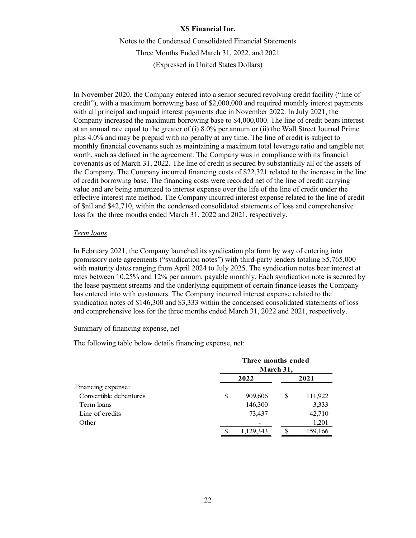Notes to the Condensed Consolidated Financial Statements Three Months Ended March 31, 2022, and 2021 (Expressed in United States Dollars)

In November 2020, the Company entered into a senior secured revolving credit facility ("line of credit"), with a maximum borrowing base of \$2,000,000 and required monthly interest payments with all principal and unpaid interest payments due in November 2022. In July 2021, the Company increased the maximum borrowing base to \$4,000,000. The line of credit bears interest at an annual rate equal to the greater of (i) 8.0% per annum or (ii) the Wall Street Journal Prime plus 4.0% and may be prepaid with no penalty at any time. The line of credit is subject to monthly financial covenants such as maintaining a maximum total leverage ratio and tangible net worth, such as defined in the agreement. The Company was in compliance with its financial covenants as of March 31, 2022. The line of credit is secured by substantially all of the assets of the Company. The Company incurred financing costs of \$22,321 related to the increase in the line of credit borrowing base. The financing costs were recorded net of the line of credit carrying value and are being amortized to interest expense over the life of the line of credit under the effective interest rate method. The Company incurred interest expense related to the line of credit of \$nil and \$42,710, within the condensed consolidated statements of loss and comprehensive loss for the three months ended March 31, 2022 and 2021, respectively.

# *Term loans*

In February 2021, the Company launched its syndication platform by way of entering into promissory note agreements ("syndication notes") with third-party lenders totaling \$5,765,000 with maturity dates ranging from April 2024 to July 2025. The syndication notes bear interest at rates between 10.25% and 12% per annum, payable monthly. Each syndication note is secured by the lease payment streams and the underlying equipment of certain finance leases the Company has entered into with customers. The Company incurred interest expense related to the syndication notes of \$146,300 and \$3,333 within the condensed consolidated statements of loss and comprehensive loss for the three months ended March 31, 2022 and 2021, respectively.

# Summary of financing expense, net

The following table below details financing expense, net:

|                        |    | Three months ended<br>March 31, |   |         |  |
|------------------------|----|---------------------------------|---|---------|--|
|                        |    | 2022                            |   | 2021    |  |
| Financing expense:     |    |                                 |   |         |  |
| Convertible debentures | \$ | 909,606                         | S | 111,922 |  |
| Term loans             |    | 146,300                         |   | 3,333   |  |
| Line of credits        |    | 73,437                          |   | 42,710  |  |
| Other                  |    |                                 |   | 1,201   |  |
|                        | S  | 1,129,343                       | S | 159,166 |  |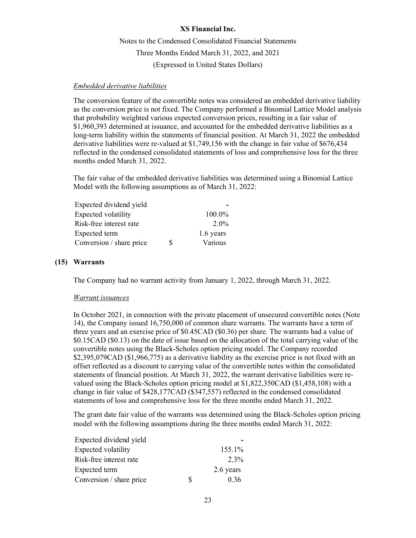Notes to the Condensed Consolidated Financial Statements Three Months Ended March 31, 2022, and 2021 (Expressed in United States Dollars)

## *Embedded derivative liabilities*

The conversion feature of the convertible notes was considered an embedded derivative liability as the conversion price is not fixed. The Company performed a Binomial Lattice Model analysis that probability weighted various expected conversion prices, resulting in a fair value of \$1,960,393 determined at issuance, and accounted for the embedded derivative liabilities as a long-term liability within the statements of financial position. At March 31, 2022 the embedded derivative liabilities were re-valued at \$1,749,156 with the change in fair value of \$676,434 reflected in the condensed consolidated statements of loss and comprehensive loss for the three months ended March 31, 2022.

The fair value of the embedded derivative liabilities was determined using a Binomial Lattice Model with the following assumptions as of March 31, 2022:

| 100.0%        |
|---------------|
| $2.0\%$       |
| 1.6 years     |
| \$<br>Various |
|               |

# **(15) Warrants**

The Company had no warrant activity from January 1, 2022, through March 31, 2022.

#### *Warrant issuances*

In October 2021, in connection with the private placement of unsecured convertible notes (Note 14), the Company issued 16,750,000 of common share warrants. The warrants have a term of three years and an exercise price of \$0.45CAD (\$0.36) per share. The warrants had a value of \$0.15CAD (\$0.13) on the date of issue based on the allocation of the total carrying value of the convertible notes using the Black-Scholes option pricing model. The Company recorded \$2,395,079CAD (\$1,966,775) as a derivative liability as the exercise price is not fixed with an offset reflected as a discount to carrying value of the convertible notes within the consolidated statements of financial position. At March 31, 2022, the warrant derivative liabilities were revalued using the Black-Scholes option pricing model at \$1,822,350CAD (\$1,458,108) with a change in fair value of \$428,177CAD (\$347,557) reflected in the condensed consolidated statements of loss and comprehensive loss for the three months ended March 31, 2022.

The grant date fair value of the warrants was determined using the Black-Scholes option pricing model with the following assumptions during the three months ended March 31, 2022:

| Expected dividend yield  |   |           |
|--------------------------|---|-----------|
| Expected volatility      |   | 155.1%    |
| Risk-free interest rate  |   | 2.3%      |
| Expected term            |   | 2.6 years |
| Conversion / share price | ९ | 0.36      |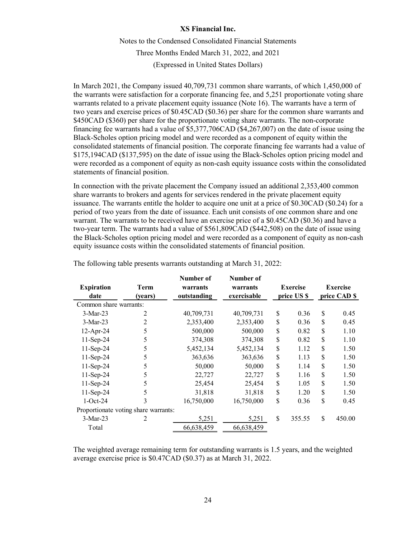Notes to the Condensed Consolidated Financial Statements Three Months Ended March 31, 2022, and 2021 (Expressed in United States Dollars)

In March 2021, the Company issued 40,709,731 common share warrants, of which 1,450,000 of the warrants were satisfaction for a corporate financing fee, and 5,251 proportionate voting share warrants related to a private placement equity issuance (Note 16). The warrants have a term of two years and exercise prices of \$0.45CAD (\$0.36) per share for the common share warrants and \$450CAD (\$360) per share for the proportionate voting share warrants. The non-corporate financing fee warrants had a value of \$5,377,706CAD (\$4,267,007) on the date of issue using the Black-Scholes option pricing model and were recorded as a component of equity within the consolidated statements of financial position. The corporate financing fee warrants had a value of \$175,194CAD (\$137,595) on the date of issue using the Black-Scholes option pricing model and were recorded as a component of equity as non-cash equity issuance costs within the consolidated statements of financial position.

In connection with the private placement the Company issued an additional 2,353,400 common share warrants to brokers and agents for services rendered in the private placement equity issuance. The warrants entitle the holder to acquire one unit at a price of \$0.30CAD (\$0.24) for a period of two years from the date of issuance. Each unit consists of one common share and one warrant. The warrants to be received have an exercise price of a \$0.45CAD (\$0.36) and have a two-year term. The warrants had a value of \$561,809CAD (\$442,508) on the date of issue using the Black-Scholes option pricing model and were recorded as a component of equity as non-cash equity issuance costs within the consolidated statements of financial position.

|                                      |         | Number of   | Number of   |                 |              |                 |
|--------------------------------------|---------|-------------|-------------|-----------------|--------------|-----------------|
| <b>Expiration</b>                    | Term    | warrants    | warrants    | <b>Exercise</b> |              | <b>Exercise</b> |
| date                                 | (years) | outstanding | exercisable | price US \$     | price CAD \$ |                 |
| Common share warrants:               |         |             |             |                 |              |                 |
| $3-Mar-23$                           | 2       | 40,709,731  | 40,709,731  | \$<br>0.36      | \$           | 0.45            |
| $3-Mar-23$                           | 2       | 2,353,400   | 2,353,400   | \$<br>0.36      | \$           | 0.45            |
| $12$ -Apr-24                         | 5       | 500,000     | 500,000     | \$<br>0.82      | \$           | 1.10            |
| $11-Sep-24$                          | 5       | 374,308     | 374,308     | \$<br>0.82      | \$           | 1.10            |
| 11-Sep-24                            | 5       | 5,452,134   | 5,452,134   | \$<br>1.12      | \$           | 1.50            |
| 11-Sep-24                            | 5       | 363,636     | 363,636     | \$<br>1.13      | \$           | 1.50            |
| 11-Sep-24                            | 5       | 50,000      | 50,000      | \$<br>1.14      | \$           | 1.50            |
| $11-Sep-24$                          | 5       | 22,727      | 22,727      | \$<br>1.16      | \$           | 1.50            |
| $11-Sep-24$                          | 5       | 25,454      | 25,454      | \$<br>1.05      | \$           | 1.50            |
| $11-Sep-24$                          | 5       | 31,818      | 31,818      | \$<br>1.20      | \$           | 1.50            |
| $1-Oct-24$                           | 3       | 16,750,000  | 16,750,000  | \$<br>0.36      | \$           | 0.45            |
| Proportionate voting share warrants: |         |             |             |                 |              |                 |
| $3-Mar-23$                           | 2       | 5,251       | 5,251       | \$<br>355.55    | \$           | 450.00          |
| Total                                |         | 66,638,459  | 66,638,459  |                 |              |                 |
|                                      |         |             |             |                 |              |                 |

The following table presents warrants outstanding at March 31, 2022:

The weighted average remaining term for outstanding warrants is 1.5 years, and the weighted average exercise price is \$0.47CAD (\$0.37) as at March 31, 2022.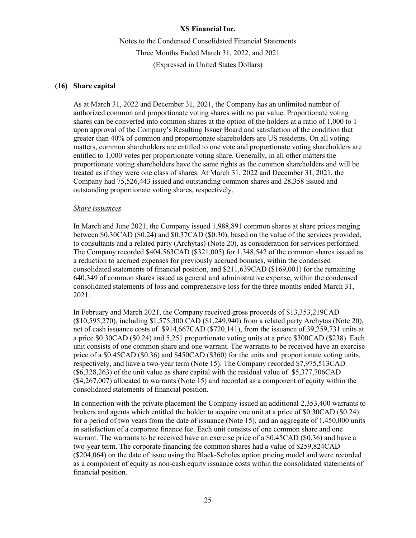Notes to the Condensed Consolidated Financial Statements Three Months Ended March 31, 2022, and 2021 (Expressed in United States Dollars)

# **(16) Share capital**

As at March 31, 2022 and December 31, 2021, the Company has an unlimited number of authorized common and proportionate voting shares with no par value. Proportionate voting shares can be converted into common shares at the option of the holders at a ratio of 1,000 to 1 upon approval of the Company's Resulting Issuer Board and satisfaction of the condition that greater than 40% of common and proportionate shareholders are US residents. On all voting matters, common shareholders are entitled to one vote and proportionate voting shareholders are entitled to 1,000 votes per proportionate voting share. Generally, in all other matters the proportionate voting shareholders have the same rights as the common shareholders and will be treated as if they were one class of shares. At March 31, 2022 and December 31, 2021, the Company had 75,526,443 issued and outstanding common shares and 28,358 issued and outstanding proportionate voting shares, respectively.

# *Share issuances*

In March and June 2021, the Company issued 1,988,891 common shares at share prices ranging between \$0.30CAD (\$0.24) and \$0.37CAD (\$0.30), based on the value of the services provided, to consultants and a related party (Archytas) (Note 20), as consideration for services performed. The Company recorded \$404,563CAD (\$321,005) for 1,348,542 of the common shares issued as a reduction to accrued expenses for previously accrued bonuses, within the condensed consolidated statements of financial position, and \$211,639CAD (\$169,001) for the remaining 640,349 of common shares issued as general and administrative expense, within the condensed consolidated statements of loss and comprehensive loss for the three months ended March 31, 2021.

In February and March 2021, the Company received gross proceeds of \$13,353,219CAD (\$10,595,270), including \$1,575,300 CAD (\$1,249,940) from a related party Archytas (Note 20), net of cash issuance costs of \$914,667CAD (\$720,141), from the issuance of 39,259,731 units at a price \$0.30CAD (\$0.24) and 5,251 proportionate voting units at a price \$300CAD (\$238). Each unit consists of one common share and one warrant. The warrants to be received have an exercise price of a \$0.45CAD (\$0.36) and \$450CAD (\$360) for the units and proportionate voting units, respectively, and have a two-year term (Note 15). The Company recorded \$7,975,513CAD (\$6,328,263) of the unit value as share capital with the residual value of \$5,377,706CAD (\$4,267,007) allocated to warrants (Note 15) and recorded as a component of equity within the consolidated statements of financial position.

In connection with the private placement the Company issued an additional 2,353,400 warrants to brokers and agents which entitled the holder to acquire one unit at a price of \$0.30CAD (\$0.24) for a period of two years from the date of issuance (Note 15), and an aggregate of 1,450,000 units in satisfaction of a corporate finance fee. Each unit consists of one common share and one warrant. The warrants to be received have an exercise price of a \$0.45CAD (\$0.36) and have a two-year term. The corporate financing fee common shares had a value of \$259,824CAD (\$204,064) on the date of issue using the Black-Scholes option pricing model and were recorded as a component of equity as non-cash equity issuance costs within the consolidated statements of financial position.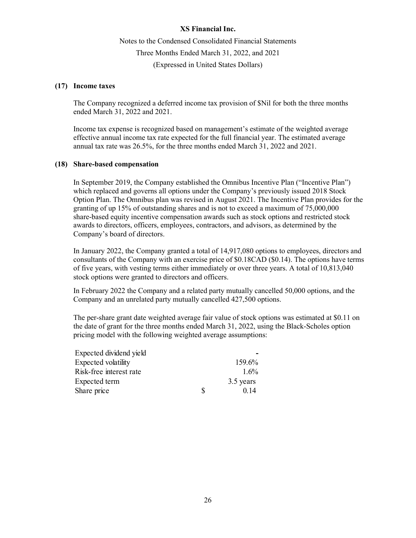Notes to the Condensed Consolidated Financial Statements Three Months Ended March 31, 2022, and 2021 (Expressed in United States Dollars)

# **(17) Income taxes**

The Company recognized a deferred income tax provision of \$Nil for both the three months ended March 31, 2022 and 2021.

Income tax expense is recognized based on management's estimate of the weighted average effective annual income tax rate expected for the full financial year. The estimated average annual tax rate was 26.5%, for the three months ended March 31, 2022 and 2021.

# **(18) Share-based compensation**

In September 2019, the Company established the Omnibus Incentive Plan ("Incentive Plan") which replaced and governs all options under the Company's previously issued 2018 Stock Option Plan. The Omnibus plan was revised in August 2021. The Incentive Plan provides for the granting of up 15% of outstanding shares and is not to exceed a maximum of 75,000,000 share-based equity incentive compensation awards such as stock options and restricted stock awards to directors, officers, employees, contractors, and advisors, as determined by the Company's board of directors.

In January 2022, the Company granted a total of 14,917,080 options to employees, directors and consultants of the Company with an exercise price of \$0.18CAD (\$0.14). The options have terms of five years, with vesting terms either immediately or over three years. A total of 10,813,040 stock options were granted to directors and officers.

In February 2022 the Company and a related party mutually cancelled 50,000 options, and the Company and an unrelated party mutually cancelled 427,500 options.

The per-share grant date weighted average fair value of stock options was estimated at \$0.11 on the date of grant for the three months ended March 31, 2022, using the Black-Scholes option pricing model with the following weighted average assumptions:

| Expected dividend yield |   |           |
|-------------------------|---|-----------|
| Expected volatility     |   | 159.6%    |
| Risk-free interest rate |   | $1.6\%$   |
| Expected term           |   | 3.5 years |
| Share price             | S | 0.14      |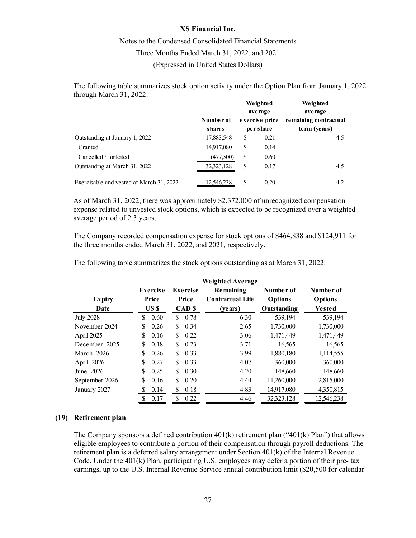# Notes to the Condensed Consolidated Financial Statements Three Months Ended March 31, 2022, and 2021 (Expressed in United States Dollars)

The following table summarizes stock option activity under the Option Plan from January 1, 2022 through March 31, 2022:

|                                          |              |                | Weighted<br>average | Weighted<br>average   |  |
|------------------------------------------|--------------|----------------|---------------------|-----------------------|--|
|                                          | Number of    | exercise price |                     | remaining contractual |  |
|                                          | shares       |                | per share           | term (years)          |  |
| Outstanding at January 1, 2022           | 17,883,548   | \$             | 0.21                | 4.5                   |  |
| Granted                                  | 14,917,080   | \$             | 0.14                |                       |  |
| Cancelled / forfeited                    | (477,500)    | \$             | 0.60                |                       |  |
| Outstanding at March 31, 2022            | 32, 323, 128 | \$             | 0.17                | 4.5                   |  |
| Exercisable and vested at March 31, 2022 | 12.546.238   | \$             | 0.20                | 4.2                   |  |

As of March 31, 2022, there was approximately \$2,372,000 of unrecognized compensation expense related to unvested stock options, which is expected to be recognized over a weighted average period of 2.3 years.

The Company recorded compensation expense for stock options of \$464,838 and \$124,911 for the three months ended March 31, 2022, and 2021, respectively.

The following table summarizes the stock options outstanding as at March 31, 2022:

|                  |             |                  | <b>Weighted Average</b> |                    |                |
|------------------|-------------|------------------|-------------------------|--------------------|----------------|
|                  | Exercise    | Exercise         | Remaining               | Number of          | Number of      |
| <b>Expiry</b>    | Price       | Price            | <b>Contractual Life</b> | <b>Options</b>     | <b>Options</b> |
| Date             | US \$       | CAD <sub>s</sub> | (years)                 | <b>Outstanding</b> | Vested         |
| <b>July 2028</b> | \$<br>0.60  | \$<br>0.78       | 6.30                    | 539,194            | 539,194        |
| November 2024    | S<br>0.26   | \$<br>0.34       | 2.65                    | 1,730,000          | 1,730,000      |
| April 2025       | S<br>0.16   | \$<br>0.22       | 3.06                    | 1,471,449          | 1,471,449      |
| December 2025    | 0.18<br>S   | \$<br>0.23       | 3.71                    | 16,565             | 16,565         |
| March 2026       | S<br>0.26   | \$<br>0.33       | 3.99                    | 1,880,180          | 1,114,555      |
| April 2026       | S<br>0.27   | \$<br>0.33       | 4.07                    | 360,000            | 360,000        |
| June 2026        | \$.<br>0.25 | \$<br>0.30       | 4.20                    | 148,660            | 148,660        |
| September 2026   | S<br>0.16   | \$<br>0.20       | 4.44                    | 11,260,000         | 2,815,000      |
| January 2027     | 0.14<br>S   | \$<br>0.18       | 4.83                    | 14,917,080         | 4,350,815      |
|                  | \$<br>0.17  | \$<br>0.22       | 4.46                    | 32,323,128         | 12,546,238     |

### **(19) Retirement plan**

The Company sponsors a defined contribution  $401(k)$  retirement plan (" $401(k)$  Plan") that allows eligible employees to contribute a portion of their compensation through payroll deductions. The retirement plan is a deferred salary arrangement under Section 401(k) of the Internal Revenue Code. Under the 401(k) Plan, participating U.S. employees may defer a portion of their pre- tax earnings, up to the U.S. Internal Revenue Service annual contribution limit (\$20,500 for calendar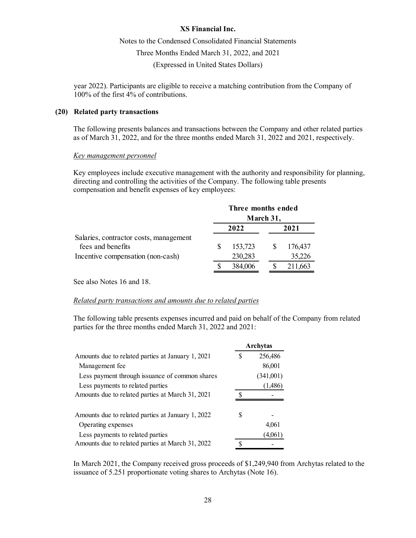# Notes to the Condensed Consolidated Financial Statements Three Months Ended March 31, 2022, and 2021

(Expressed in United States Dollars)

year 2022). Participants are eligible to receive a matching contribution from the Company of 100% of the first 4% of contributions.

## **(20) Related party transactions**

The following presents balances and transactions between the Company and other related parties as of March 31, 2022, and for the three months ended March 31, 2022 and 2021, respectively.

#### *Key management personnel*

Key employees include executive management with the authority and responsibility for planning, directing and controlling the activities of the Company. The following table presents compensation and benefit expenses of key employees:

|                                                             |      | Three months ended<br>March 31, |      |         |  |
|-------------------------------------------------------------|------|---------------------------------|------|---------|--|
|                                                             | 2022 |                                 | 2021 |         |  |
| Salaries, contractor costs, management<br>fees and benefits |      | 153,723                         |      | 176,437 |  |
| Incentive compensation (non-cash)                           |      | 230,283                         |      | 35,226  |  |
|                                                             |      | 384,006                         |      | 211,663 |  |

See also Notes 16 and 18.

# *Related party transactions and amounts due to related parties*

The following table presents expenses incurred and paid on behalf of the Company from related parties for the three months ended March 31, 2022 and 2021:

|                                                   | Archytas |           |  |
|---------------------------------------------------|----------|-----------|--|
| Amounts due to related parties at January 1, 2021 |          | 256,486   |  |
| Management fee                                    |          | 86,001    |  |
| Less payment through issuance of common shares    |          | (341,001) |  |
| Less payments to related parties                  |          | (1,486)   |  |
| Amounts due to related parties at March 31, 2021  |          |           |  |
| Amounts due to related parties at January 1, 2022 | S        |           |  |
| Operating expenses                                |          | 4.061     |  |
| Less payments to related parties                  |          | (4,061)   |  |
| Amounts due to related parties at March 31, 2022  |          |           |  |

In March 2021, the Company received gross proceeds of \$1,249,940 from Archytas related to the issuance of 5.251 proportionate voting shares to Archytas (Note 16).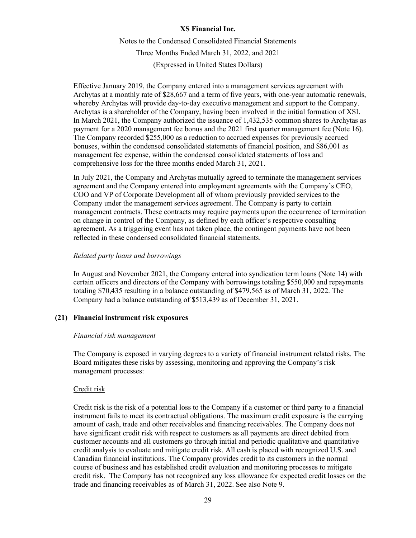Notes to the Condensed Consolidated Financial Statements Three Months Ended March 31, 2022, and 2021 (Expressed in United States Dollars)

Effective January 2019, the Company entered into a management services agreement with Archytas at a monthly rate of \$28,667 and a term of five years, with one-year automatic renewals, whereby Archytas will provide day-to-day executive management and support to the Company. Archytas is a shareholder of the Company, having been involved in the initial formation of XSI. In March 2021, the Company authorized the issuance of 1,432,535 common shares to Archytas as payment for a 2020 management fee bonus and the 2021 first quarter management fee (Note 16). The Company recorded \$255,000 as a reduction to accrued expenses for previously accrued bonuses, within the condensed consolidated statements of financial position, and \$86,001 as management fee expense, within the condensed consolidated statements of loss and comprehensive loss for the three months ended March 31, 2021.

In July 2021, the Company and Archytas mutually agreed to terminate the management services agreement and the Company entered into employment agreements with the Company's CEO, COO and VP of Corporate Development all of whom previously provided services to the Company under the management services agreement. The Company is party to certain management contracts. These contracts may require payments upon the occurrence of termination on change in control of the Company, as defined by each officer's respective consulting agreement. As a triggering event has not taken place, the contingent payments have not been reflected in these condensed consolidated financial statements.

# *Related party loans and borrowings*

In August and November 2021, the Company entered into syndication term loans (Note 14) with certain officers and directors of the Company with borrowings totaling \$550,000 and repayments totaling \$70,435 resulting in a balance outstanding of \$479,565 as of March 31, 2022. The Company had a balance outstanding of \$513,439 as of December 31, 2021.

# **(21) Financial instrument risk exposures**

### *Financial risk management*

The Company is exposed in varying degrees to a variety of financial instrument related risks. The Board mitigates these risks by assessing, monitoring and approving the Company's risk management processes:

### Credit risk

Credit risk is the risk of a potential loss to the Company if a customer or third party to a financial instrument fails to meet its contractual obligations. The maximum credit exposure is the carrying amount of cash, trade and other receivables and financing receivables. The Company does not have significant credit risk with respect to customers as all payments are direct debited from customer accounts and all customers go through initial and periodic qualitative and quantitative credit analysis to evaluate and mitigate credit risk. All cash is placed with recognized U.S. and Canadian financial institutions. The Company provides credit to its customers in the normal course of business and has established credit evaluation and monitoring processes to mitigate credit risk. The Company has not recognized any loss allowance for expected credit losses on the trade and financing receivables as of March 31, 2022. See also Note 9.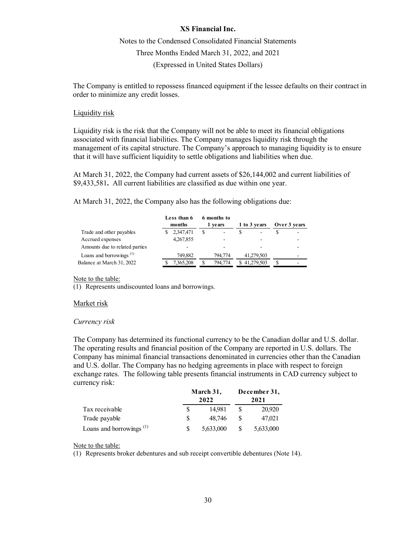# Notes to the Condensed Consolidated Financial Statements Three Months Ended March 31, 2022, and 2021 (Expressed in United States Dollars)

The Company is entitled to repossess financed equipment if the lessee defaults on their contract in order to minimize any credit losses.

### Liquidity risk

Liquidity risk is the risk that the Company will not be able to meet its financial obligations associated with financial liabilities. The Company manages liquidity risk through the management of its capital structure. The Company's approach to managing liquidity is to ensure that it will have sufficient liquidity to settle obligations and liabilities when due.

At March 31, 2022, the Company had current assets of \$26,144,002 and current liabilities of \$9,433,581**.** All current liabilities are classified as due within one year.

At March 31, 2022, the Company also has the following obligations due:

|                                     | Less than 6<br>months | 6 months to<br>1 years | 1 to 3 years | Over 3 years |
|-------------------------------------|-----------------------|------------------------|--------------|--------------|
| Trade and other payables            | 2,347,471             | ۰                      |              |              |
| Accrued expenses                    | 4,267,855             |                        |              |              |
| Amounts due to related parties      |                       |                        |              |              |
| Loans and borrowings <sup>(1)</sup> | 749,882               | 794,774                | 41,279,503   |              |
| Balance at March 31, 2022           | 7,365,208             | 794,774                | \$41,279,503 |              |

Note to the table:

(1) Represents undiscounted loans and borrowings.

#### Market risk

#### *Currency risk*

The Company has determined its functional currency to be the Canadian dollar and U.S. dollar. The operating results and financial position of the Company are reported in U.S. dollars. The Company has minimal financial transactions denominated in currencies other than the Canadian and U.S. dollar. The Company has no hedging agreements in place with respect to foreign exchange rates. The following table presents financial instruments in CAD currency subject to currency risk:

|                                                  | March 31, |           | December 31, |           |  |
|--------------------------------------------------|-----------|-----------|--------------|-----------|--|
|                                                  |           | 2022      |              | 2021      |  |
| Tax receivable                                   |           | 14.981    |              | 20,920    |  |
| Trade payable                                    |           | 48.746    |              | 47,021    |  |
| Loans and borrowings <sup><math>(1)</math></sup> |           | 5,633,000 |              | 5,633,000 |  |

Note to the table:

(1) Represents broker debentures and sub receipt convertible debentures (Note 14).